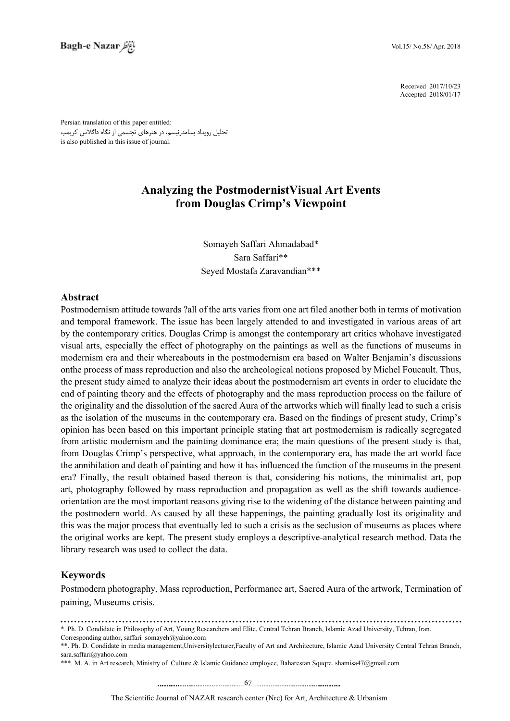2017/10/23 Received 2018/01/17 Accepted

Persian translation of this paper entitled: تحلیل رویداد پسامدرنیسم، در هنرهای تجسمی از نگاه داگالس کریمپ is also published in this issue of journal.

# **Analyzing the Postmodernist Visual Art Events from Douglas Crimp's Viewpoint**

Somayeh Saffari Ahmadabad\* Sara Saffari\*\* Seyed Mostafa Zaravandian\*\*\*

#### **Abstract**

Postmodernism attitude towards ?all of the arts varies from one art filed another both in terms of motivation and temporal framework. The issue has been largely attended to and investigated in various areas of art by the contemporary critics. Douglas Crimp is amongst the contemporary art critics whohave investigated visual arts, especially the effect of photography on the paintings as well as the functions of museums in modernism era and their whereabouts in the postmodernism era based on Walter Benjamin's discussions on the process of mass reproduction and also the archeological notions proposed by Michel Foucault. Thus, the present study aimed to analyze their ideas about the postmodernism art events in order to elucidate the end of painting theory and the effects of photography and the mass reproduction process on the failure of the originality and the dissolution of the sacred Aura of the artworks which will finally lead to such a crisis as the isolation of the museums in the contemporary era. Based on the findings of present study, Crimp's opinion has been based on this important principle stating that art postmodernism is radically segregated from artistic modernism and the painting dominance era; the main questions of the present study is that, from Douglas Crimp's perspective, what approach, in the contemporary era, has made the art world face the annihilation and death of painting and how it has influenced the function of the museums in the present era? Finally, the result obtained based thereon is that, considering his notions, the minimalist art, pop orientation are the most important reasons giving rise to the widening of the distance between painting and art, photography followed by mass reproduction and propagation as well as the shift towards audiencethe postmodern world. As caused by all these happenings, the painting gradually lost its originality and this was the major process that eventually led to such a crisis as the seclusion of museums as places where the original works are kept. The present study employs a descriptive-analytical research method. Data the library research was used to collect the data.

### **Keywords**

Postmodern photography, Mass reproduction, Performance art, Sacred Aura of the artwork, Termination of paining, Museums crisis.

<sup>\*.</sup> Ph. D. Condidate in Philosophy of Art, Young Researchers and Elite, Central Tehran Branch, Islamic Azad University, Tehran, Iran.

Corresponding author saffari somayeh $\oslash$ vahoo com

<sup>\*\*.</sup> Ph. D. Condidate in media management, University lecturer, Faculty of Art and Architecture, Islamic Azad University Central Tehran Branch, sara saffari@vahoo.com

<sup>\*\*\*.</sup> M. A. in Art research, Ministry of Culture & Islamic Guidance employee, Baharestan Squqre. shamisa 47@gmail.com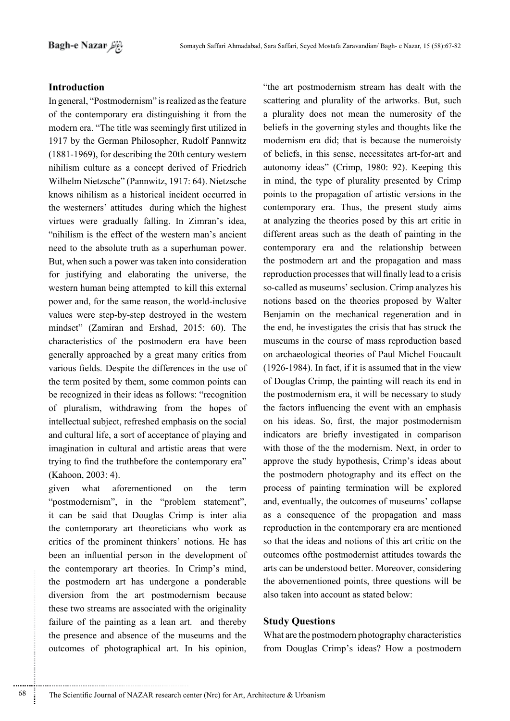## **Introduction**

In general, "Postmodernism" is realized as the feature of the contemporary era distinguishing it from the modern era. "The title was seemingly first utilized in 1917 by the German Philosopher, Rudolf Pannwitz  $(1881-1969)$ , for describing the 20th century western nihilism culture as a concept derived of Friedrich Wilhelm Nietzsche" (Pannwitz, 1917: 64). Nietzsche knows nihilism as a historical incident occurred in the westerners' attitudes during which the highest virtues were gradually falling. In Zimran's idea. "nihilism is the effect of the western man's ancient need to the absolute truth as a superhuman power. But, when such a power was taken into consideration for justifying and elaborating the universe, the western human being attempted to kill this external power and, for the same reason, the world-inclusive values were step-by-step destroved in the western mindset" (Zamiran and Ershad, 2015: 60). The characteristics of the postmodern era have been generally approached by a great many critics from various fields. Despite the differences in the use of the term posited by them, some common points can be recognized in their ideas as follows: "recognition of pluralism, withdrawing from the hopes of intellectual subject, refreshed emphasis on the social and cultural life, a sort of acceptance of playing and imagination in cultural and artistic areas that were trying to find the truthbefore the contemporary era" (Kahoon, 2003: 4).

what aforementioned the given  $\Omega$ term "postmodernism", in the "problem statement". it can be said that Douglas Crimp is inter alia the contemporary art theoreticians who work as critics of the prominent thinkers' notions. He has been an influential person in the development of the contemporary art theories. In Crimp's mind, the postmodern art has undergone a ponderable diversion from the art postmodernism because these two streams are associated with the originality failure of the painting as a lean art. and thereby the presence and absence of the museums and the outcomes of photographical art. In his opinion, "the art postmodernism stream has dealt with the scattering and plurality of the artworks. But, such a plurality does not mean the numerosity of the beliefs in the governing styles and thoughts like the modernism era did; that is because the numeroisty of beliefs, in this sense, necessitates art-for-art and autonomy ideas" (Crimp, 1980: 92). Keeping this in mind, the type of plurality presented by Crimp points to the propagation of artistic versions in the contemporary era. Thus, the present study aims at analyzing the theories posed by this art critic in different areas such as the death of painting in the contemporary era and the relationship between the postmodern art and the propagation and mass reproduction processes that will finally lead to a crisis so-called as museums' seclusion. Crimp analyzes his notions based on the theories proposed by Walter Benjamin on the mechanical regeneration and in the end, he investigates the crisis that has struck the museums in the course of mass reproduction based on archaeological theories of Paul Michel Foucault (1926-1984). In fact, if it is assumed that in the view of Douglas Crimp, the painting will reach its end in the postmodernism era, it will be necessary to study the factors influencing the event with an emphasis on his ideas. So, first, the major postmodernism indicators are briefly investigated in comparison with those of the the modernism. Next, in order to approve the study hypothesis, Crimp's ideas about the postmodern photography and its effect on the process of painting termination will be explored and, eventually, the outcomes of museums' collapse as a consequence of the propagation and mass reproduction in the contemporary era are mentioned so that the ideas and notions of this art critic on the outcomes of the postmodernist attitudes towards the arts can be understood better. Moreover, considering the abovementioned points, three questions will be also taken into account as stated below:

### **Study Questions**

What are the postmodern photography characteristics from Douglas Crimp's ideas? How a postmodern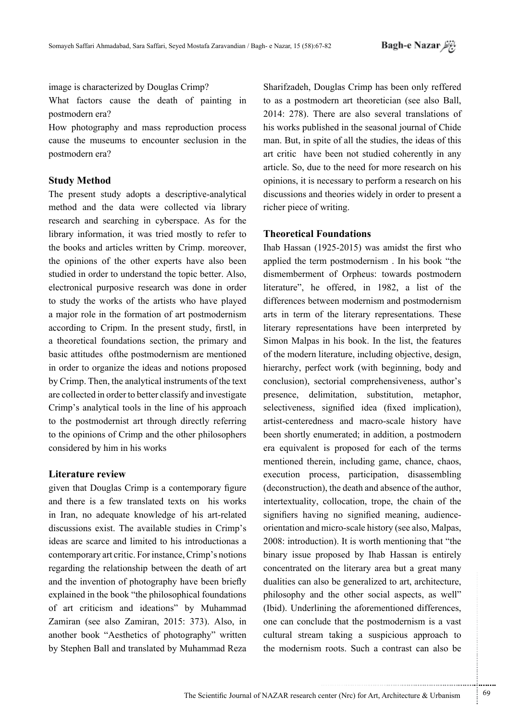image is characterized by Douglas Crimp?

What factors cause the death of painting in postmodern era?

How photography and mass reproduction process cause the museums to encounter seclusion in the postmodern era?

#### **Study Method**

The present study adopts a descriptive-analytical method and the data were collected via library research and searching in cyberspace. As for the library information, it was tried mostly to refer to the books and articles written by Crimp. moreover, the opinions of the other experts have also been studied in order to understand the topic better. Also, electronical purposive research was done in order to study the works of the artists who have played a major role in the formation of art postmodernism according to Cripm. In the present study, firstl, in a theoretical foundations section, the primary and basic attitudes of the postmodernism are mentioned in order to organize the ideas and notions proposed by Crimp. Then, the analytical instruments of the text are collected in order to better classify and investigate Crimp's analytical tools in the line of his approach to the postmodernist art through directly referring to the opinions of Crimp and the other philosophers considered by him in his works

#### **Literature** review

given that Douglas Crimp is a contemporary figure and there is a few translated texts on his works in Iran, no adequate knowledge of his art-related discussions exist. The available studies in Crimp's ideas are scarce and limited to his introductionas a contemporary art critic. For instance, Crimp's notions regarding the relationship between the death of art and the invention of photography have been briefly explained in the book "the philosophical foundations" of art criticism and ideations" by Muhammad Zamiran (see also Zamiran, 2015: 373). Also, in another book "Aesthetics of photography" written by Stephen Ball and translated by Muhammad Reza

Sharifzadeh, Douglas Crimp has been only reffered to as a postmodern art theoretician (see also Ball.  $2014$ :  $278$ ). There are also several translations of his works published in the seasonal iournal of Chide man. But, in spite of all the studies, the ideas of this art critic have been not studied coherently in any article. So, due to the need for more research on his opinions, it is necessary to perform a research on his discussions and theories widely in order to present a richer piece of writing.

### **Theoretical Foundations**

Ihab Hassan  $(1925-2015)$  was amidst the first who applied the term postmodernism . In his book "the dismemberment of Orpheus: towards postmodern literature", he offered, in  $1982$ , a list of the differences between modernism and postmodernism arts in term of the literary representations. These literary representations have been interpreted by Simon Malpas in his book. In the list, the features of the modern literature, including objective, design, hierarchy, perfect work (with beginning, body and conclusion), sectorial comprehensiveness, author's presence, delimitation, substitution, metaphor, selectiveness, signified idea (fixed implication), artist-centeredness and macro-scale history have been shortly enumerated; in addition, a postmodern era equivalent is proposed for each of the terms mentioned therein, including game, chance, chaos, execution process, participation, disassembling  $deconstruction$ , the death and absence of the author, intertextuality, collocation, trope, the chain of the orientation and micro-scale history (see also, Malpas, signifiers having no signified meaning, audience- $2008$ : introduction). It is worth mentioning that "the binary issue proposed by Ihab Hassan is entirely concentrated on the literary area but a great many dualities can also be generalized to art, architecture, philosophy and the other social aspects, as well" (Ibid). Underlining the aforementioned differences, one can conclude that the postmodernism is a vast cultural stream taking a suspicious approach to the modernism roots. Such a contrast can also be

...........................................................

.......... ....... ........ ........... ...... ....... ........ .......... ...........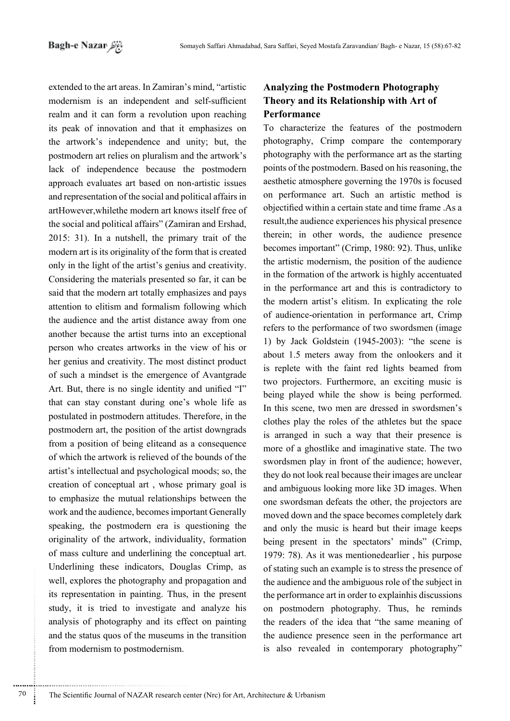extended to the art areas. In Zamiran's mind, "artistic modernism is an independent and self-sufficient realm and it can form a revolution upon reaching its peak of innovation and that it emphasizes on the artwork's independence and unity; but, the postmodern art relies on pluralism and the artwork's lack of independence because the postmodern approach evaluates art based on non-artistic issues and representation of the social and political affairs in artHowever, while the modern art knows itself free of the social and political affairs" (Zamiran and Ershad, 2015: 31). In a nutshell, the primary trait of the modern art is its originality of the form that is created only in the light of the artist's genius and creativity. Considering the materials presented so far, it can be said that the modern art totally emphasizes and pays attention to elitism and formalism following which the audience and the artist distance away from one another because the artist turns into an exceptional person who creates artworks in the view of his or her genius and creativity. The most distinct product of such a mindset is the emergence of Avantgrade Art. But, there is no single identity and unified "I" that can stay constant during one's whole life as postulated in postmodern attitudes. Therefore, in the postmodern art, the position of the artist downgrads from a position of being eliteand as a consequence of which the artwork is relieved of the bounds of the artist's intellectual and psychological moods; so, the creation of conceptual art, whose primary goal is to emphasize the mutual relationships between the work and the audience, becomes important Generally speaking, the postmodern era is questioning the originality of the artwork, individuality, formation of mass culture and underlining the conceptual art. Underlining these indicators, Douglas Crimp, as well, explores the photography and propagation and its representation in painting. Thus, in the present study, it is tried to investigate and analyze his analysis of photography and its effect on painting and the status quos of the museums in the transition from modernism to postmodernism.

## **Analyzing the Postmodern Photography** Theory and its Relationship with Art of Performance

To characterize the features of the postmodern photography, Crimp compare the contemporary photography with the performance art as the starting points of the postmodern. Based on his reasoning, the aesthetic atmosphere governing the 1970s is focused on performance art. Such an artistic method is objectified within a certain state and time frame. As a result the audience experiences his physical presence therein; in other words, the audience presence becomes important" (Crimp, 1980: 92). Thus, unlike the artistic modernism, the position of the audience in the formation of the artwork is highly accentuated in the performance art and this is contradictory to the modern artist's elitism. In explicating the role of audience-orientation in performance art, Crimp refers to the performance of two swordsmen (image 1) by Jack Goldstein (1945-2003): "the scene is about 1.5 meters away from the onlookers and it is replete with the faint red lights beamed from two projectors. Furthermore, an exciting music is being played while the show is being performed. In this scene, two men are dressed in swordsmen's clothes play the roles of the athletes but the space is arranged in such a way that their presence is more of a ghostlike and imaginative state. The two swordsmen play in front of the audience; however, they do not look real because their images are unclear and ambiguous looking more like 3D images. When one swordsman defeats the other, the projectors are moved down and the space becomes completely dark and only the music is heard but their image keeps being present in the spectators' minds" (Crimp, 1979: 78). As it was mentionedearlier, his purpose of stating such an example is to stress the presence of the audience and the ambiguous role of the subject in the performance art in order to explain his discussions on postmodern photography. Thus, he reminds the readers of the idea that "the same meaning of the audience presence seen in the performance art is also revealed in contemporary photography"

70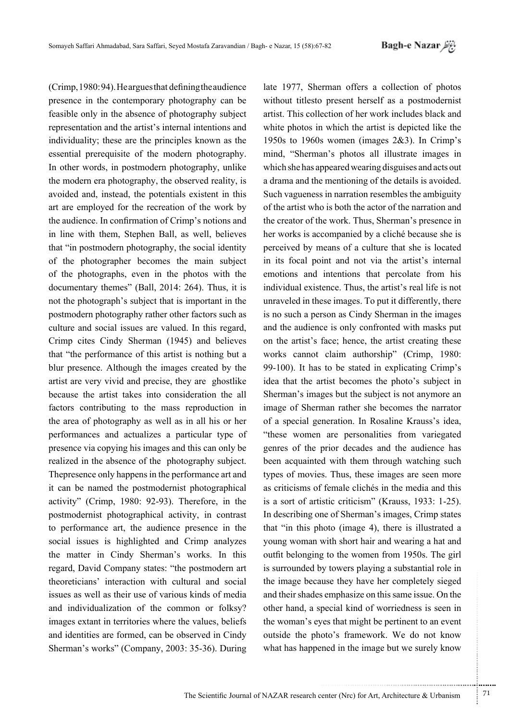$(Crimp, 1980: 94)$ . He argues that defining the audience presence in the contemporary photography can be feasible only in the absence of photography subject representation and the artist's internal intentions and individuality; these are the principles known as the essential prerequisite of the modern photography. In other words, in postmodern photography, unlike the modern era photography, the observed reality, is avoided and, instead, the potentials existent in this art are employed for the recreation of the work by the audience. In confirmation of Crimp's notions and in line with them, Stephen Ball, as well, believes that "in postmodern photography, the social identity of the photographer becomes the main subject of the photographs, even in the photos with the documentary themes" (Ball,  $2014$ :  $264$ ). Thus, it is not the photograph's subject that is important in the postmodern photography rather other factors such as culture and social issues are valued. In this regard, Crimp cites Cindy Sherman (1945) and believes that "the performance of this artist is nothing but a blur presence. Although the images created by the artist are very vivid and precise, they are ghostlike because the artist takes into consideration the all factors contributing to the mass reproduction in the area of photography as well as in all his or her performances and actualizes a particular type of presence via copying his images and this can only be realized in the absence of the photography subject. The presence only happens in the performance art and it can be named the postmodernist photographical activity" (Crimp, 1980: 92-93). Therefore, in the postmodernist photographical activity, in contrast to performance art, the audience presence in the social issues is highlighted and Crimp analyzes the matter in Cindy Sherman's works. In this regard, David Company states: "the postmodern art theoreticians' interaction with cultural and social issues as well as their use of various kinds of media and individualization of the common or folksy? images extant in territories where the values, beliefs and identities are formed, can be observed in Cindy Sherman's works" (Company, 2003: 35-36). During

late 1977, Sherman offers a collection of photos without titlesto present herself as a postmodernist artist. This collection of her work includes black and white photos in which the artist is depicted like the 1950s to 1960s women (images  $2&3$ ). In Crimp's mind, "Sherman's photos all illustrate images in which she has appeared wearing disguises and acts out a drama and the mentioning of the details is avoided. Such vagueness in narration resembles the ambiguity of the artist who is both the actor of the narration and the creator of the work. Thus, Sherman's presence in her works is accompanied by a cliché because she is perceived by means of a culture that she is located in its focal point and not via the artist's internal emotions and intentions that percolate from his individual existence. Thus, the artist's real life is not unraveled in these images. To put it differently, there is no such a person as Cindy Sherman in the images and the audience is only confronted with masks put on the artist's face; hence, the artist creating these works cannot claim authorship" (Crimp, 1980:  $99-100$ ). It has to be stated in explicating Crimp's idea that the artist becomes the photo's subject in Sherman's images but the subject is not anymore an image of Sherman rather she becomes the narrator of a special generation. In Rosaline Krauss's idea, "these women are personalities from variegated genres of the prior decades and the audience has been acquainted with them through watching such types of movies. Thus, these images are seen more as criticisms of female clichés in the media and this is a sort of artistic criticism" (Krauss,  $1933$ : 1-25). In describing one of Sherman's images, Crimp states that "in this photo (image 4), there is illustrated a young woman with short hair and wearing a hat and outfit belonging to the women from 1950s. The girl is surrounded by towers playing a substantial role in the image because they have her completely sieged and their shades emphasize on this same issue. On the other hand, a special kind of worriedness is seen in the woman's eyes that might be pertinent to an event outside the photo's framework. We do not know what has happened in the image but we surely know

...........................................................

.......... ....... ........ ........... ...... ....... ........ .......... ...........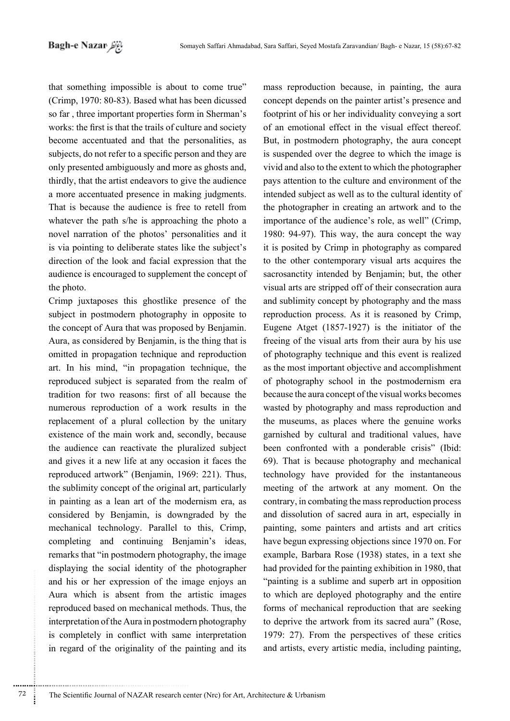that something impossible is about to come true" (Crimp, 1970: 80-83). Based what has been dicussed so far, three important properties form in Sherman's works: the first is that the trails of culture and society become accentuated and that the personalities, as subjects, do not refer to a specific person and they are only presented ambiguously and more as ghosts and, thirdly, that the artist endeavors to give the audience a more accentuated presence in making judgments. That is because the audience is free to retell from whatever the path  $s$ /he is approaching the photo a novel narration of the photos' personalities and it is via pointing to deliberate states like the subject's direction of the look and facial expression that the audience is encouraged to supplement the concept of the photo.

Crimp juxtaposes this ghostlike presence of the subject in postmodern photography in opposite to the concept of Aura that was proposed by Benjamin. Aura, as considered by Benjamin, is the thing that is omitted in propagation technique and reproduction art. In his mind, "in propagation technique, the reproduced subject is separated from the realm of tradition for two reasons: first of all because the numerous reproduction of a work results in the replacement of a plural collection by the unitary existence of the main work and, secondly, because the audience can reactivate the pluralized subject and gives it a new life at any occasion it faces the reproduced artwork" (Benjamin, 1969: 221). Thus, the sublimity concept of the original art, particularly in painting as a lean art of the modernism era, as considered by Benjamin, is downgraded by the mechanical technology. Parallel to this, Crimp, completing and continuing Benjamin's ideas, remarks that "in postmodern photography, the image displaying the social identity of the photographer and his or her expression of the image enjoys and Aura which is absent from the artistic images reproduced based on mechanical methods. Thus, the interpretation of the Aura in postmodern photography is completely in conflict with same interpretation in regard of the originality of the painting and its mass reproduction because, in painting, the aura concept depends on the painter artist's presence and footprint of his or her individuality conveying a sort of an emotional effect in the visual effect thereof. But, in postmodern photography, the aura concept is suspended over the degree to which the image is vivid and also to the extent to which the photographer pays attention to the culture and environment of the intended subject as well as to the cultural identity of the photographer in creating an artwork and to the importance of the audience's role, as well" (Crimp, 1980: 94-97). This way, the aura concept the way it is posited by Crimp in photography as compared to the other contemporary visual arts acquires the sacrosanctity intended by Benjamin; but, the other visual arts are stripped off of their consecration aura and sublimity concept by photography and the mass reproduction process. As it is reasoned by Crimp, Eugene Atget  $(1857-1927)$  is the initiator of the freeing of the visual arts from their aura by his use of photography technique and this event is realized as the most important objective and accomplishment of photography school in the postmodernism era because the aura concept of the visual works becomes wasted by photography and mass reproduction and the museums, as places where the genuine works garnished by cultural and traditional values, have been confronted with a ponderable crisis" (Ibid: 69). That is because photography and mechanical technology have provided for the instantaneous meeting of the artwork at any moment. On the contrary, in combating the mass reproduction process and dissolution of sacred aura in art, especially in painting, some painters and artists and art critics have begun expressing objections since 1970 on. For example, Barbara Rose (1938) states, in a text she had provided for the painting exhibition in 1980, that "painting is a sublime and superb art in opposition" to which are deployed photography and the entire forms of mechanical reproduction that are seeking to deprive the artwork from its sacred aura" (Rose, 1979: 27). From the perspectives of these critics and artists, every artistic media, including painting,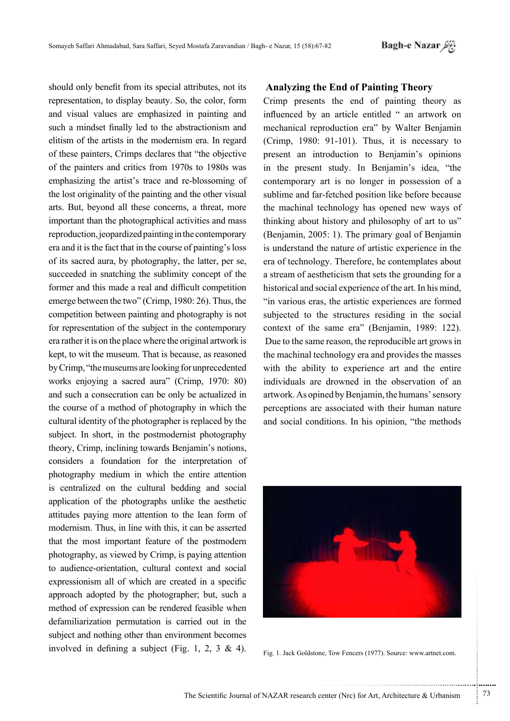should only benefit from its special attributes, not its representation, to display beauty. So, the color, form and visual values are emphasized in painting and such a mindset finally led to the abstractionism and elitism of the artists in the modernism era. In regard of these painters, Crimps declares that "the objective of the painters and critics from 1970s to 1980s was emphasizing the artist's trace and re-blossoming of the lost originality of the painting and the other visual arts. But, beyond all these concerns, a threat, more important than the photographical activities and mass reproduction, jeopardized painting in the contemporary era and it is the fact that in the course of painting's loss of its sacred aura, by photography, the latter, per se, succeeded in snatching the sublimity concept of the former and this made a real and difficult competition emerge between the two" (Crimp, 1980: 26). Thus, the competition between painting and photography is not for representation of the subject in the contemporary era rather it is on the place where the original artwork is kept, to wit the museum. That is because, as reasoned by Crimp, "the museums are looking for unprecedented works enjoying a sacred aura" (Crimp, 1970: 80) and such a consecration can be only be actualized in the course of a method of photography in which the cultural identity of the photographer is replaced by the subject. In short, in the postmodernist photography theory, Crimp, inclining towards Benjamin's notions, considers a foundation for the interpretation of photography medium in which the entire attention is centralized on the cultural bedding and social application of the photographs unlike the aesthetic attitudes paying more attention to the lean form of modernism. Thus, in line with this, it can be asserted that the most important feature of the postmodern photography, as viewed by Crimp, is paying attention to audience-orientation, cultural context and social expressionism all of which are created in a specific approach adopted by the photographer; but, such a method of expression can be rendered feasible when defamiliarization permutation is carried out in the subject and nothing other than environment becomes involved in defining a subject (Fig. 1, 2, 3 & 4).

#### **Analyzing the End of Painting Theory**

Crimp presents the end of painting theory as influenced by an article entitled " an artwork on mechanical reproduction era" by Walter Benjamin (Crimp,  $1980$ :  $91-101$ ). Thus, it is necessary to present an introduction to Benjamin's opinions in the present study. In Benjamin's idea, "the contemporary art is no longer in possession of a sublime and far-fetched position like before because the machinal technology has opened new ways of thinking about history and philosophy of art to us" (Benjamin, 2005: 1). The primary goal of Benjamin is understand the nature of artistic experience in the era of technology. Therefore, he contemplates about a stream of aestheticism that sets the grounding for a historical and social experience of the art. In his mind. "in various eras, the artistic experiences are formed subjected to the structures residing in the social context of the same era" (Benjamin, 1989: 122). Due to the same reason, the reproducible art grows in the machinal technology era and provides the masses with the ability to experience art and the entire individuals are drowned in the observation of an artwork. As opined by Benjamin, the humans' sensory perceptions are associated with their human nature and social conditions. In his opinion, "the methods



Fig. 1. Jack Goldstone, Tow Fencers (1977). Source: www.artnet.com.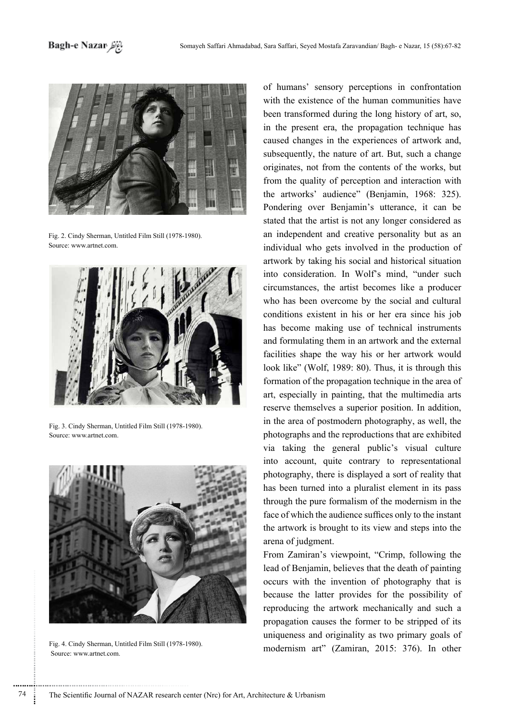

Fig. 2. Cindy Sherman, Untitled Film Still (1978-1980). Source: www.artnet.com.



Fig. 3. Cindy Sherman, Untitled Film Still (1978-1980). Source: www.artnet.com



Fig. 4. Cindy Sherman, Untitled Film Still (1978-1980). Source: www.artnet.com.

of humans' sensory perceptions in confrontation with the existence of the human communities have been transformed during the long history of art, so, in the present era, the propagation technique has caused changes in the experiences of artwork and, subsequently, the nature of art. But, such a change originates, not from the contents of the works, but from the quality of perception and interaction with the artworks' audience" (Benjamin, 1968: 325). Pondering over Benjamin's utterance, it can be stated that the artist is not any longer considered as an independent and creative personality but as an individual who gets involved in the production of artwork by taking his social and historical situation into consideration. In Wolf's mind, "under such circumstances, the artist becomes like a producer who has been overcome by the social and cultural conditions existent in his or her era since his iob has become making use of technical instruments and formulating them in an artwork and the external facilities shape the way his or her artwork would look like" (Wolf, 1989: 80). Thus, it is through this formation of the propagation technique in the area of art, especially in painting, that the multimedia arts reserve themselves a superior position. In addition, in the area of postmodern photography, as well, the photographs and the reproductions that are exhibited via taking the general public's visual culture into account, quite contrary to representational photography, there is displayed a sort of reality that has been turned into a pluralist element in its pass through the pure formalism of the modernism in the face of which the audience suffices only to the instant the artwork is brought to its view and steps into the arena of judgment.

From Zamiran's viewpoint, "Crimp, following the lead of Benjamin, believes that the death of painting occurs with the invention of photography that is because the latter provides for the possibility of reproducing the artwork mechanically and such a propagation causes the former to be stripped of its uniqueness and originality as two primary goals of modernism art" (Zamiran, 2015: 376). In other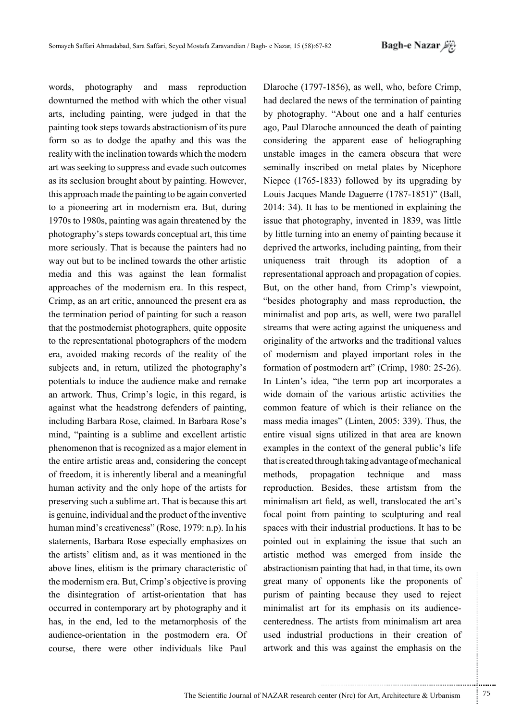words, photography and mass reproduction downturned the method with which the other visual arts, including painting, were judged in that the pullet pure its operator of abstractionism of its pure form so as to dodge the apathy and this was the reality with the inclination towards which the modern art was seeking to suppress and evade such outcomes as its seclusion brought about by painting. However, this approach made the painting to be again converted to a pioneering art in modernism era. But, during  $1970s$  to 1980s, painting was again threatened by the photography's steps towards conceptual art, this time more seriously. That is because the painters had no way out but to be inclined towards the other artistic media and this was against the lean formalist approaches of the modernism era. In this respect, Crimp, as an art critic, announced the present era as the termination period of painting for such a reason that the postmodernist photographers, quite opposite to the representational photographers of the modern era, avoided making records of the reality of the subjects and, in return, utilized the photography's potentials to induce the audience make and remake an artwork. Thus, Crimp's logic, in this regard, is against what the headstrong defenders of painting. including Barbara Rose, claimed. In Barbara Rose's mind, "painting is a sublime and excellent artistic phenomenon that is recognized as a major element in the entire artistic areas and, considering the concept of freedom, it is inherently liberal and a meaningful human activity and the only hope of the artists for preserving such a sublime art. That is because this art is genuine, individual and the product of the inventive human mind's creativeness" (Rose, 1979: n.p). In his statements, Barbara Rose especially emphasizes on the artists' elitism and, as it was mentioned in the above lines, elitism is the primary characteristic of the modernism era. But, Crimp's objective is proving the disintegration of artist-orientation that has occurred in contemporary art by photography and it has, in the end, led to the metamorphosis of the audience-orientation in the postmodern era. Of course, there were other individuals like Paul

Dlaroche (1797-1856), as well, who, before Crimp, had declared the news of the termination of painting by photography. "About one and a half centuries ago, Paul Dlaroche announced the death of painting considering the apparent ease of heliographing unstable images in the camera obscura that were seminally inscribed on metal plates by Nicephore Niepce  $(1765-1833)$  followed by its upgrading by Louis Jacques Mande Daguerre (1787-1851)" (Ball,  $2014$ : 34). It has to be mentioned in explaining the issue that photography, invented in 1839, was little by little turning into an enemy of painting because it deprived the artworks, including painting, from their uniqueness trait through its adoption of a representational approach and propagation of copies. But, on the other hand, from Crimp's viewpoint, "besides photography and mass reproduction, the minimalist and pop arts, as well, were two parallel streams that were acting against the uniqueness and originality of the artworks and the traditional values of modernism and played important roles in the formation of postmodern art" (Crimp,  $1980: 25-26$ ). In Linten's idea, "the term pop art incorporates a wide domain of the various artistic activities the common feature of which is their reliance on the mass media images" (Linten, 2005: 339). Thus, the entire visual signs utilized in that area are known examples in the context of the general public's life that is created through taking advantage of mechanical methods, propagation technique and mass reproduction. Besides, these artistsm from the minimalism art field, as well, translocated the art's focal point from painting to sculpturing and real spaces with their industrial productions. It has to be pointed out in explaining the issue that such an artistic method was emerged from inside the abstractionism painting that had, in that time, its own great many of opponents like the proponents of purism of painting because they used to reject centeredness. The artists from minimalism art area minimalist art for its emphasis on its audienceused industrial productions in their creation of artwork and this was against the emphasis on the

...........................................................

.......... ....... ........ ........... ...... ....... ........ .......... ...........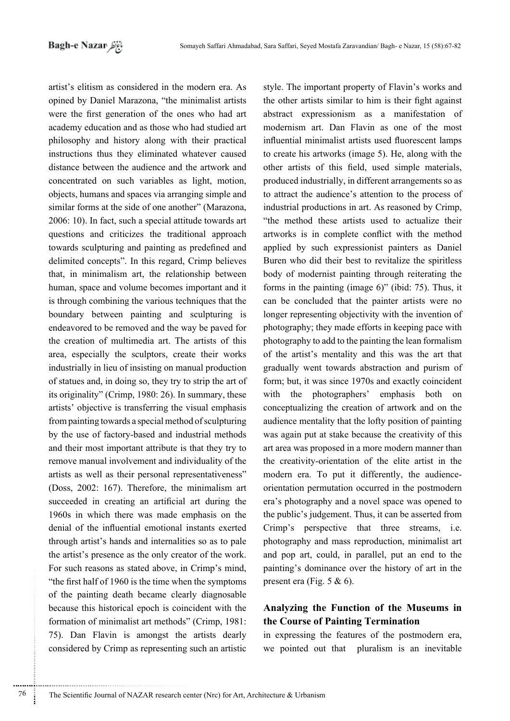artist's elitism as considered in the modern era. As opined by Daniel Marazona, "the minimalist artists were the first generation of the ones who had art academy education and as those who had studied art philosophy and history along with their practical instructions thus they eliminated whatever caused distance between the audience and the artwork and concentrated on such variables as light, motion, objects, humans and spaces via arranging simple and similar forms at the side of one another" (Marazona,  $2006$ : 10). In fact, such a special attitude towards art questions and criticizes the traditional approach towards sculpturing and painting as predefined and delimited concepts". In this regard, Crimp believes that, in minimalism art, the relationship between human, space and volume becomes important and it is through combining the various techniques that the boundary between painting and sculpturing is endeavored to be removed and the way be paved for the creation of multimedia art. The artists of this area, especially the sculptors, create their works industrially in lieu of insisting on manual production of statues and, in doing so, they try to strip the art of its originality" (Crimp, 1980:  $26$ ). In summary, these artists' objective is transferring the visual emphasis from painting towards a special method of sculpturing by the use of factory-based and industrial methods and their most important attribute is that they try to remove manual involvement and individuality of the artists as well as their personal representativeness" (Doss, 2002: 167). Therefore, the minimalism art succeeded in creating an artificial art during the 1960s in which there was made emphasis on the denial of the influential emotional instants exerted through artist's hands and internalities so as to pale the artist's presence as the only creator of the work. For such reasons as stated above, in Crimp's mind, "the first half of  $1960$  is the time when the symptoms" of the painting death became clearly diagnosable because this historical epoch is coincident with the formation of minimalist art methods" (Crimp, 1981: 75). Dan Flavin is amongst the artists dearly considered by Crimp as representing such an artistic style. The important property of Flavin's works and the other artists similar to him is their fight against abstract expressionism as a manifestation of modernism art. Dan Flavin as one of the most influential minimalist artists used fluorescent lamps to create his artworks (image 5). He, along with the other artists of this field, used simple materials, produced industrially, in different arrangements so as to attract the audience's attention to the process of industrial productions in art. As reasoned by Crimp, "the method these artists used to actualize their artworks is in complete conflict with the method applied by such expressionist painters as Daniel Buren who did their best to revitalize the spiritless body of modernist painting through reiterating the forms in the painting (image  $6$ )" (ibid: 75). Thus, it can be concluded that the painter artists were no longer representing objectivity with the invention of photography; they made efforts in keeping pace with photography to add to the painting the lean formalism of the artist's mentality and this was the art that gradually went towards abstraction and purism of form; but, it was since 1970s and exactly coincident with the photographers' emphasis both on conceptualizing the creation of artwork and on the audience mentality that the lofty position of painting was again put at stake because the creativity of this art area was proposed in a more modern manner than the creativity-orientation of the elite artist in the position of the in the postmodern orientation-occurred in the postmodern modern era. To put it differently, the audienceera's photography and a novel space was opened to the public's judgement. Thus, it can be asserted from Crimp's perspective that three streams, i.e. photography and mass reproduction, minimalist art and pop art, could, in parallel, put an end to the painting's dominance over the history of art in the present era (Fig.  $5 \& 6$ ).

## Analyzing the Function of the Museums in **the Course of Painting Termination**

in expressing the features of the postmodern era, we pointed out that pluralism is an inevitable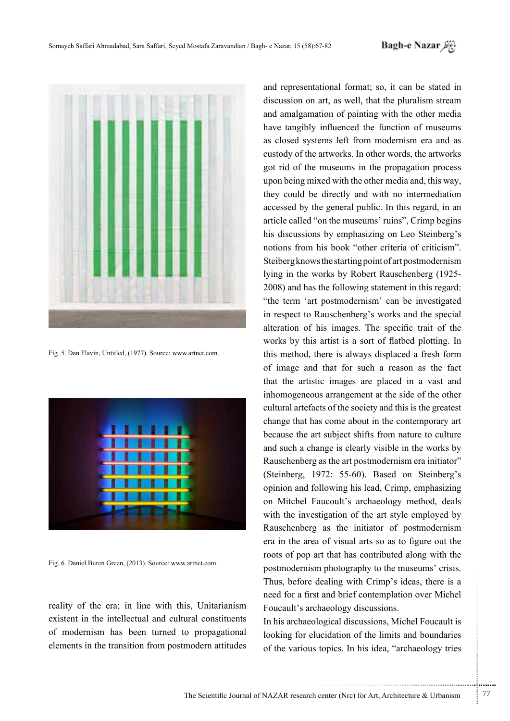

Fig. 5. Dan Flavin, Untitled, (1977). Source: www.artnet.com.



Fig. 6. Daniel Buren Green, (2013). Source: www.artnet.com.

reality of the era; in line with this, Unitarianism existent in the intellectual and cultural constituents of modernism has been turned to propagational elements in the transition from postmodern attitudes

and representational format; so, it can be stated in discussion on art, as well, that the pluralism stream and amalgamation of painting with the other media have tangibly influenced the function of museums as closed systems left from modernism era and as custody of the artworks. In other words, the artworks got rid of the museums in the propagation process upon being mixed with the other media and, this way, they could be directly and with no intermediation accessed by the general public. In this regard, in an article called "on the museums' ruins", Crimp begins his discussions by emphasizing on Leo Steinberg's notions from his book "other criteria of criticism". Steiberg knows the starting point of art postmodernism lying in the works by Robert Rauschenberg (1925-2008) and has the following statement in this regard: "the term 'art postmodernism' can be investigated in respect to Rauschenberg's works and the special alteration of his images. The specific trait of the works by this artist is a sort of flatbed plotting. In this method, there is always displaced a fresh form of image and that for such a reason as the fact that the artistic images are placed in a vast and inhomogeneous arrangement at the side of the other cultural artefacts of the society and this is the greatest change that has come about in the contemporary art because the art subject shifts from nature to culture and such a change is clearly visible in the works by Rauschenberg as the art postmodernism era initiator" (Steinberg, 1972: 55-60). Based on Steinberg's opinion and following his lead, Crimp, emphasizing on Mitchel Faucoult's archaeology method, deals with the investigation of the art style employed by Rauschenberg as the initiator of postmodernism era in the area of visual arts so as to figure out the roots of pop art that has contributed along with the postmodernism photography to the museums' crisis. Thus, before dealing with Crimp's ideas, there is a need for a first and brief contemplation over Michel Foucault's archaeology discussions.

In his archaeological discussions, Michel Foucault is looking for elucidation of the limits and boundaries of the various topics. In his idea, "archaeology tries

.......... ....... ........ ........... ...... ....... ........ .......... ...........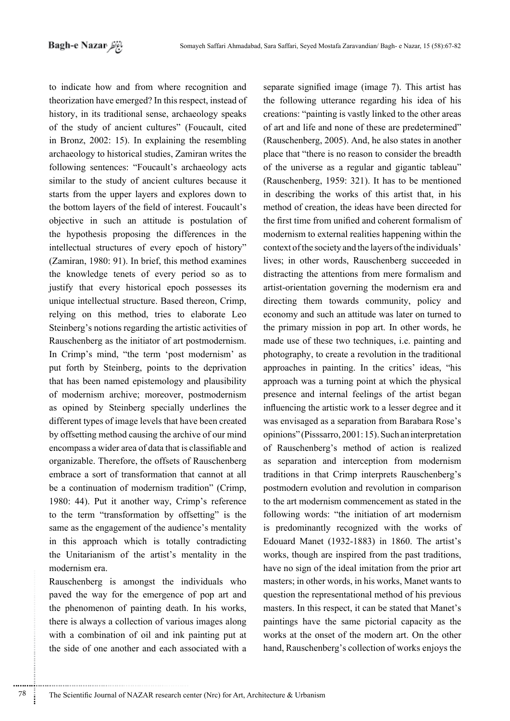to indicate how and from where recognition and theorization have emerged? In this respect, instead of history, in its traditional sense, archaeology speaks of the study of ancient cultures" (Foucault, cited in Bronz,  $2002$ : 15). In explaining the resembling archaeology to historical studies, Zamiran writes the following sentences: "Foucault's archaeology acts similar to the study of ancient cultures because it starts from the upper layers and explores down to the bottom layers of the field of interest. Foucault's objective in such an attitude is postulation of the hypothesis proposing the differences in the intellectual structures of every epoch of history" (Zamiran, 1980: 91). In brief, this method examines the knowledge tenets of every period so as to justify that every historical epoch possesses its unique intellectual structure. Based thereon, Crimp, relying on this method, tries to elaborate Leo Steinberg's notions regarding the artistic activities of Rauschenberg as the initiator of art postmodernism. In Crimp's mind, "the term 'post modernism' as put forth by Steinberg, points to the deprivation that has been named epistemology and plausibility of modernism archive; moreover, postmodernism as opined by Steinberg specially underlines the different types of image levels that have been created by offsetting method causing the archive of our mind encompass a wider area of data that is classifiable and organizable. Therefore, the offsets of Rauschenberg embrace a sort of transformation that cannot at all be a continuation of modernism tradition" (Crimp, 1980: 44). Put it another way, Crimp's reference to the term "transformation by offsetting" is the same as the engagement of the audience's mentality in this approach which is totally contradicting the Unitarianism of the artist's mentality in the modernism era.

Rauschenberg is amongst the individuals who paved the way for the emergence of pop art and the phenomenon of painting death. In his works, there is always a collection of various images along with a combination of oil and ink painting put at the side of one another and each associated with a separate signified image (image 7). This artist has the following utterance regarding his idea of his creations: "painting is vastly linked to the other areas of art and life and none of these are predetermined" (Rauschenberg,  $2005$ ). And, he also states in another place that "there is no reason to consider the breadth" of the universe as a regular and gigantic tableau" (Rauschenberg, 1959:  $321$ ). It has to be mentioned in describing the works of this artist that, in his method of creation, the ideas have been directed for the first time from unified and coherent formalism of modernism to external realities happening within the context of the society and the layers of the individuals' lives; in other words, Rauschenberg succeeded in distracting the attentions from mere formalism and artist-orientation governing the modernism era and directing them towards community, policy and economy and such an attitude was later on turned to the primary mission in pop art. In other words, he made use of these two techniques, i.e. painting and photography, to create a revolution in the traditional approaches in painting. In the critics' ideas, "his approach was a turning point at which the physical presence and internal feelings of the artist began influencing the artistic work to a lesser degree and it was envisaged as a separation from Barabara Rose's opinions" (Pisssarro, 2001: 15). Such an interpretation of Rauschenberg's method of action is realized as separation and interception from modernism traditions in that Crimp interprets Rauschenberg's postmodern evolution and revolution in comparison to the art modernism commencement as stated in the following words: "the initiation of art modernism is predominantly recognized with the works of Edouard Manet  $(1932-1883)$  in 1860. The artist's works, though are inspired from the past traditions, have no sign of the ideal imitation from the prior art masters; in other words, in his works, Manet wants to question the representational method of his previous masters. In this respect, it can be stated that Manet's paintings have the same pictorial capacity as the works at the onset of the modern art. On the other hand, Rauschenberg's collection of works enjoys the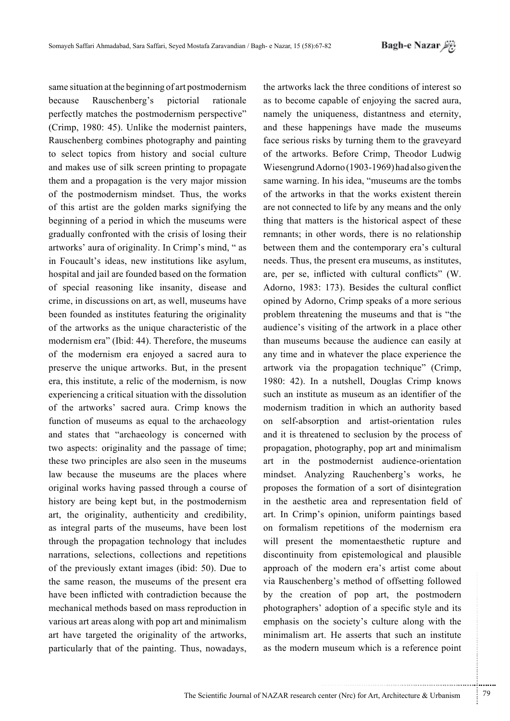same situation at the beginning of art postmodernism Rauschenberg's pictorial hecause rationale perfectly matches the postmodernism perspective" (Crimp, 1980: 45). Unlike the modernist painters, Rauschenberg combines photography and painting to select topics from history and social culture and makes use of silk screen printing to propagate them and a propagation is the very major mission of the postmodernism mindset. Thus, the works of this artist are the golden marks signifying the beginning of a period in which the museums were gradually confronted with the crisis of losing their artworks' aura of originality. In Crimp's mind, "as in Foucault's ideas, new institutions like asylum, hospital and jail are founded based on the formation of special reasoning like insanity, disease and crime, in discussions on art, as well, museums have been founded as institutes featuring the originality of the artworks as the unique characteristic of the modernism era" (Ibid: 44). Therefore, the museums of the modernism era enjoyed a sacred aura to preserve the unique artworks. But, in the present era, this institute, a relic of the modernism, is now experiencing a critical situation with the dissolution of the artworks' sacred aura. Crimp knows the function of museums as equal to the archaeology and states that "archaeology is concerned with two aspects: originality and the passage of time; these two principles are also seen in the museums law because the museums are the places where original works having passed through a course of history are being kept but, in the postmodernism art, the originality, authenticity and credibility, as integral parts of the museums, have been lost through the propagation technology that includes narrations, selections, collections and repetitions of the previously extant images (ibid: 50). Due to the same reason, the museums of the present era have been inflicted with contradiction because the mechanical methods based on mass reproduction in various art areas along with pop art and minimalism art have targeted the originality of the artworks, particularly that of the painting. Thus, nowadays,

the artworks lack the three conditions of interest so as to become capable of enjoying the sacred aura, namely the uniqueness, distantness and eternity, and these happenings have made the museums face serious risks by turning them to the graveyard of the artworks. Before Crimp, Theodor Ludwig Wiesengrund Adorno (1903-1969) had also given the same warning. In his idea, "museums are the tombs of the artworks in that the works existent therein are not connected to life by any means and the only thing that matters is the historical aspect of these remnants; in other words, there is no relationship between them and the contemporary era's cultural needs. Thus, the present era museums, as institutes, are, per se, inflicted with cultural conflicts" (W. Adorno, 1983: 173). Besides the cultural conflict opined by Adorno, Crimp speaks of a more serious problem threatening the museums and that is "the audience's visiting of the artwork in a place other than museums because the audience can easily at any time and in whatever the place experience the artwork via the propagation technique" (Crimp, 1980: 42). In a nutshell, Douglas Crimp knows such an institute as museum as an identifier of the modernism tradition in which an authority based on self-absorption and artist-orientation rules and it is threatened to seclusion by the process of propagation, photography, pop art and minimalism art in the postmodernist audience-orientation mindset. Analyzing Rauchenberg's works, he proposes the formation of a sort of disintegration in the aesthetic area and representation field of art. In Crimp's opinion, uniform paintings based on formalism repetitions of the modernism era will present the momentaesthetic rupture and discontinuity from epistemological and plausible approach of the modern era's artist come about via Rauschenberg's method of offsetting followed by the creation of pop art, the postmodern photographers' adoption of a specific style and its emphasis on the society's culture along with the minimalism art. He asserts that such an institute as the modern museum which is a reference point

79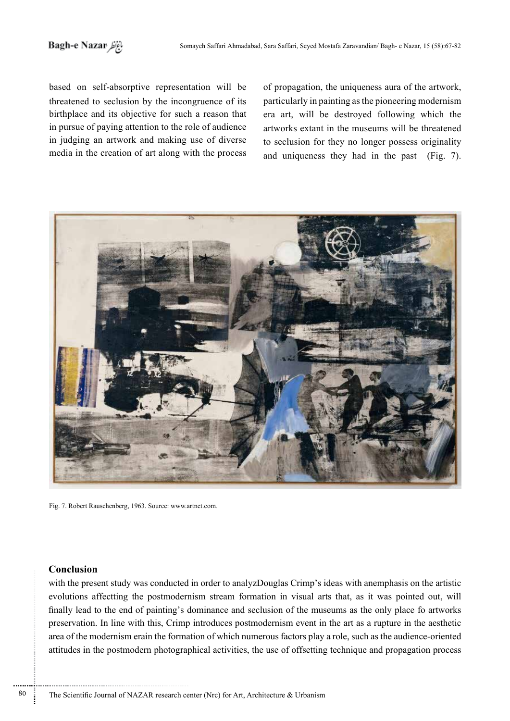based on self-absorptive representation will be threatened to seclusion by the incongruence of its birthplace and its objective for such a reason that in pursue of paying attention to the role of audience in judging an artwork and making use of diverse media in the creation of art along with the process of propagation, the uniqueness aura of the artwork, particularly in painting as the pioneering modernism era art, will be destroyed following which the artworks extant in the museums will be threatened to seclusion for they no longer possess originality and uniqueness they had in the past  $(Fig. 7)$ .



Fig. 7. Robert Rauschenberg, 1963. Source: www.artnet.com.

### **Conclusion**

with the present study was conducted in order to analyzDouglas Crimp's ideas with anemphasis on the artistic evolutions affectting the postmodernism stream formation in visual arts that, as it was pointed out, will finally lead to the end of painting's dominance and seclusion of the museums as the only place fo artworks preservation. In line with this, Crimp introduces postmodernism event in the art as a rupture in the aesthetic area of the modernism erain the formation of which numerous factors play a role, such as the audience-oriented attitudes in the postmodern photographical activities, the use of offsetting technique and propagation process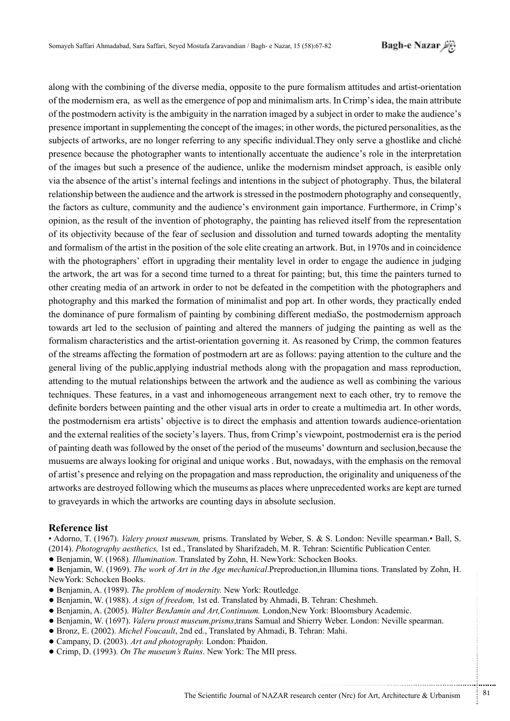بَاغِرَاهَ Bagh-e Nazar

along with the combining of the diverse media, opposite to the pure formalism attitudes and artist-orientation of the modernism era, as well as the emergence of pop and minimalism arts. In Crimp's idea, the main attribute of the postmodern activity is the ambiguity in the narration imaged by a subject in order to make the audience's presence important in supplementing the concept of the images; in other words, the pictured personalities, as the subjects of artworks, are no longer referring to any specific individual. They only serve a ghostlike and cliché presence because the photographer wants to intentionally accentuate the audience's role in the interpretation of the images but such a presence of the audience, unlike the modernism mindset approach, is easible only via the absence of the artist's internal feelings and intentions in the subject of photography. Thus, the bilateral relationship between the audience and the artwork is stressed in the postmodern photography and consequently, the factors as culture, community and the audience's environment gain importance. Furthermore, in Crimp's opinion, as the result of the invention of photography, the painting has relieved itself from the representation of its objectivity because of the fear of seclusion and dissolution and turned towards adopting the mentality and formalism of the artist in the position of the sole elite creating an artwork. But, in 1970s and in coincidence with the photographers' effort in upgrading their mentality level in order to engage the audience in judging the artwork, the art was for a second time turned to a threat for painting; but, this time the painters turned to other creating media of an artwork in order to not be defeated in the competition with the photographers and photography and this marked the formation of minimalist and pop art. In other words, they practically ended the dominance of pure formalism of painting by combining different mediaSo, the postmodernism approach towards art led to the seclusion of painting and altered the manners of judging the painting as well as the formalism characteristics and the artist-orientation governing it. As reasoned by Crimp, the common features of the streams affecting the formation of postmodern art are as follows: paying attention to the culture and the general living of the public, applying industrial methods along with the propagation and mass reproduction, attending to the mutual relationships between the artwork and the audience as well as combining the various techniques. These features, in a vast and inhomogeneous arrangement next to each other, try to remove the definite borders between painting and the other visual arts in order to create a multimedia art. In other words, the postmodernism era artists' objective is to direct the emphasis and attention towards audience-orientation and the external realities of the society's layers. Thus, from Crimp's viewpoint, postmodernist era is the period of painting death was followed by the onset of the period of the museums' downturn and seclusion, because the musuems are always looking for original and unique works. But, nowadays, with the emphasis on the removal of artist's presence and relying on the propagation and mass reproduction, the originality and uniqueness of the artworks are destroyed following which the museums as places where unprecedented works are kept are turned to grave and sin which the artworks are counting days in absolute seclusion.

#### **Reference list**

• Adorno, T. (1967). Valery proust museum, prisms. Translated by Weber, S. & S. London: Neville spearman. Ball, S. (2014). Photography aesthetics. 1st ed., Translated by Sharifzadeh, M. R. Tehran: Scientific Publication Center.

• Benjamin, W. (1968). Illumination. Translated by Zohn, H. New York: Schocken Books.

 $\bullet$  Benjamin, W. (1969). The work of Art in the Age mechanical Preproduction, in Illumina tions. Translated by Zohn, H. NewYork: Schocken Books.

- Benjamin, A. (1989). The problem of modernity. New York: Routledge.
- Benjamin, W. (1988). A sign of freedom, 1st ed. Translated by Ahmadi, B. Tehran: Cheshmeh.
- Beniamin, A. (2005). *Walter BenJamin and Art.Continuum*. London.New York: Bloomsbury Academic.
- Benjamin, W. (1697). Valeru proust museum, prisms, trans Samual and Shierry Weber. London: Neville spearman.
- Bronz, E. (2002). Michel Foucault, 2nd ed., Translated by Ahmadi, B. Tehran: Mahi.
- Campany, D. (2003). Art and photography. London: Phaidon.
- Crimp, D. (1993). On The museum's Ruins. New York: The MII press.

81